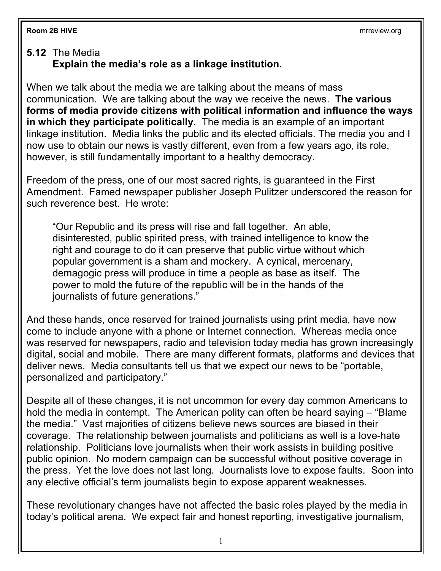## **5.12** The Media **Explain the media's role as a linkage institution.**

When we talk about the media we are talking about the means of mass communication. We are talking about the way we receive the news. **The various forms of media provide citizens with political information and influence the ways in which they participate politically.** The media is an example of an important linkage institution. Media links the public and its elected officials. The media you and I now use to obtain our news is vastly different, even from a few years ago, its role, however, is still fundamentally important to a healthy democracy.

Freedom of the press, one of our most sacred rights, is guaranteed in the First Amendment. Famed newspaper publisher Joseph Pulitzer underscored the reason for such reverence best. He wrote:

"Our Republic and its press will rise and fall together. An able, disinterested, public spirited press, with trained intelligence to know the right and courage to do it can preserve that public virtue without which popular government is a sham and mockery. A cynical, mercenary, demagogic press will produce in time a people as base as itself. The power to mold the future of the republic will be in the hands of the journalists of future generations."

And these hands, once reserved for trained journalists using print media, have now come to include anyone with a phone or Internet connection. Whereas media once was reserved for newspapers, radio and television today media has grown increasingly digital, social and mobile. There are many different formats, platforms and devices that deliver news. Media consultants tell us that we expect our news to be "portable, personalized and participatory."

Despite all of these changes, it is not uncommon for every day common Americans to hold the media in contempt. The American polity can often be heard saying – "Blame the media." Vast majorities of citizens believe news sources are biased in their coverage. The relationship between journalists and politicians as well is a love-hate relationship. Politicians love journalists when their work assists in building positive public opinion. No modern campaign can be successful without positive coverage in the press. Yet the love does not last long. Journalists love to expose faults. Soon into any elective official's term journalists begin to expose apparent weaknesses.

These revolutionary changes have not affected the basic roles played by the media in today's political arena. We expect fair and honest reporting, investigative journalism,